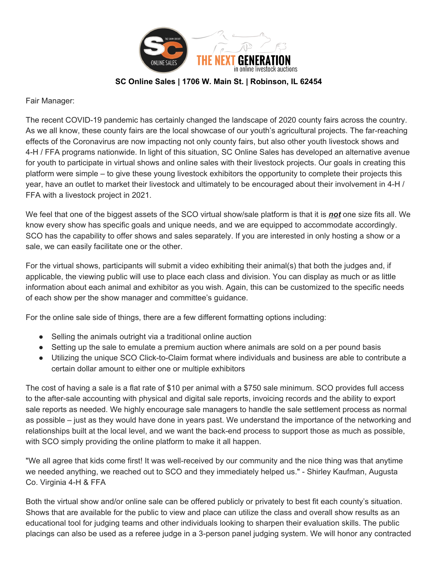

## **SC Online Sales | 1706 W. Main St. | Robinson, IL 62454**

Fair Manager:

The recent COVID-19 pandemic has certainly changed the landscape of 2020 county fairs across the country. As we all know, these county fairs are the local showcase of our youth's agricultural projects. The far-reaching effects of the Coronavirus are now impacting not only county fairs, but also other youth livestock shows and 4-H / FFA programs nationwide. In light of this situation, SC Online Sales has developed an alternative avenue for youth to participate in virtual shows and online sales with their livestock projects. Our goals in creating this platform were simple – to give these young livestock exhibitors the opportunity to complete their projects this year, have an outlet to market their livestock and ultimately to be encouraged about their involvement in 4-H / FFA with a livestock project in 2021.

We feel that one of the biggest assets of the SCO virtual show/sale platform is that it is *not* one size fits all. We know every show has specific goals and unique needs, and we are equipped to accommodate accordingly. SCO has the capability to offer shows and sales separately. If you are interested in only hosting a show or a sale, we can easily facilitate one or the other.

For the virtual shows, participants will submit a video exhibiting their animal(s) that both the judges and, if applicable, the viewing public will use to place each class and division. You can display as much or as little information about each animal and exhibitor as you wish. Again, this can be customized to the specific needs of each show per the show manager and committee's guidance.

For the online sale side of things, there are a few different formatting options including:

- Selling the animals outright via a traditional online auction
- Setting up the sale to emulate a premium auction where animals are sold on a per pound basis
- Utilizing the unique SCO Click-to-Claim format where individuals and business are able to contribute a certain dollar amount to either one or multiple exhibitors

The cost of having a sale is a flat rate of \$10 per animal with a \$750 sale minimum. SCO provides full access to the after-sale accounting with physical and digital sale reports, invoicing records and the ability to export sale reports as needed. We highly encourage sale managers to handle the sale settlement process as normal as possible – just as they would have done in years past. We understand the importance of the networking and relationships built at the local level, and we want the back-end process to support those as much as possible, with SCO simply providing the online platform to make it all happen.

"We all agree that kids come first! It was well-received by our community and the nice thing was that anytime we needed anything, we reached out to SCO and they immediately helped us." - Shirley Kaufman, Augusta Co. Virginia 4-H & FFA

Both the virtual show and/or online sale can be offered publicly or privately to best fit each county's situation. Shows that are available for the public to view and place can utilize the class and overall show results as an educational tool for judging teams and other individuals looking to sharpen their evaluation skills. The public placings can also be used as a referee judge in a 3-person panel judging system. We will honor any contracted